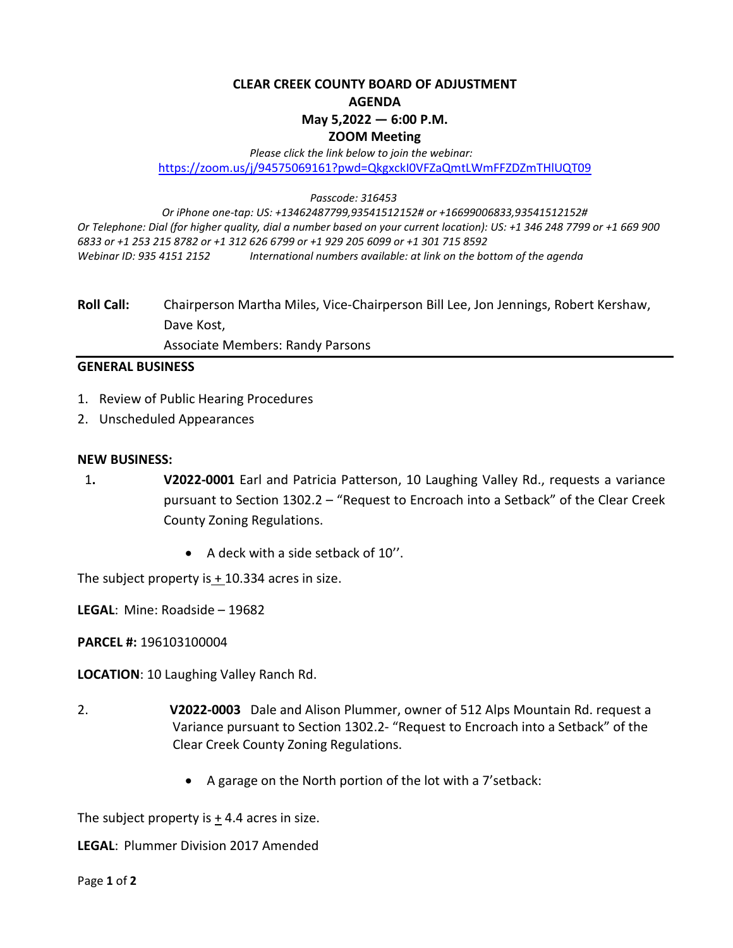# **CLEAR CREEK COUNTY BOARD OF ADJUSTMENT AGENDA May 5,2022 — 6:00 P.M. ZOOM Meeting**

#### *Please click the link below to join the webinar:* <https://zoom.us/j/94575069161?pwd=QkgxckI0VFZaQmtLWmFFZDZmTHlUQT09>

#### *Passcode: 316453*

*Or iPhone one-tap: US: +13462487799,93541512152# or +16699006833,93541512152# Or Telephone: Dial (for higher quality, dial a number based on your current location): US: +1 346 248 7799 or +1 669 900 6833 or +1 253 215 8782 or +1 312 626 6799 or +1 929 205 6099 or +1 301 715 8592 Webinar ID: 935 4151 2152 International numbers available: at link on the bottom of the agenda*

**Roll Call:** Chairperson Martha Miles, Vice-Chairperson Bill Lee, Jon Jennings, Robert Kershaw, Dave Kost,

Associate Members: Randy Parsons

## **GENERAL BUSINESS**

- 1. Review of Public Hearing Procedures
- 2. Unscheduled Appearances

#### **NEW BUSINESS:**

- 1**. V2022-0001** Earl and Patricia Patterson, 10 Laughing Valley Rd., requests a variance pursuant to Section 1302.2 – "Request to Encroach into a Setback" of the Clear Creek County Zoning Regulations.
	- A deck with a side setback of 10''.

The subject property is  $+$  10.334 acres in size.

**LEGAL**: Mine: Roadside – 19682

**PARCEL #:** 196103100004

**LOCATION**: 10 Laughing Valley Ranch Rd.

- 2. **V2022-0003** Dale and Alison Plummer, owner of 512 Alps Mountain Rd. request a Variance pursuant to Section 1302.2- "Request to Encroach into a Setback" of the Clear Creek County Zoning Regulations.
	- A garage on the North portion of the lot with a 7'setback:

The subject property is  $+4.4$  acres in size.

**LEGAL**: Plummer Division 2017 Amended